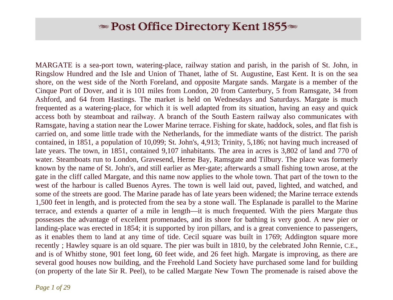# $\blacktriangleright$  Post Office Directory Kent 1855 $\blacktriangleright$

MARGATE is a sea-port town, watering-place, railway station and parish, in the parish of St. John, in Ringslow Hundred and the Isle and Union of Thanet, lathe of St. Augustine, East Kent. It is on the sea shore, on the west side of the North Foreland, and opposite Margate sands. Margate is a member of the Cinque Port of Dover, and it is 101 miles from London, 20 from Canterbury, 5 from Ramsgate, 34 from Ashford, and 64 from Hastings. The market is held on Wednesdays and Saturdays. Margate is much frequented as a watering-place, for which it is well adapted from its situation, having an easy and quick access both by steamboat and railway. A branch of the South Eastern railway also communicates with Ramsgate, having a station near the Lower Marine terrace. Fishing for skate, haddock, soles, and flat fish is carried on, and some little trade with the Netherlands, for the immediate wants of the district. The parish contained, in 1851, a population of 10,099; St. John's, 4,913; Trinity, 5,186; not having much increased of late years. The town, in 1851, contained 9,107 inhabitants. The area in acres is 3,802 of land and 770 of water. Steamboats run to London, Gravesend, Herne Bay, Ramsgate and Tilbury. The place was formerly known by the name of St. John's, and still earlier as Mer-gate; afterwards a small fishing town arose, at the gate in the cliff called Margate, and this name now applies to the whole town. That part of the town to the west of the harbour is called Buenos Ayres. The town is well laid out, paved, lighted, and watched, and some of the streets are good. The Marine parade has of late years been widened; the Marine terrace extends 1,500 feet in length, and is protected from the sea by a stone wall. The Esplanade is parallel to the Marine terrace, and extends a quarter of a mile in length—it is much frequented. With the piers Margate thus possesses the advantage of excellent promenades, and its shore for bathing is very good. A new pier or landing-place was erected in 1854; it is supported by iron pillars, and is a great convenience to passengers, as it enables them to land at any time of tide. Cecil square was built in 1769; Addington square more recently ; Hawley square is an old square. The pier was built in 1810, by the celebrated John Rennie, C.E., and is of Whitby stone, 901 feet long, 60 feet wide, and 26 feet high. Margate is improving, as there are several good houses now building, and the Freehold Land Society have purchased some land for building (on property of the late Sir R. Peel), to be called Margate New Town The promenade is raised above the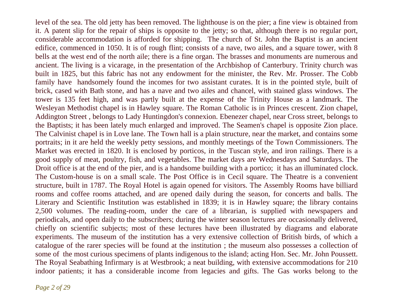level of the sea. The old jetty has been removed. The lighthouse is on the pier; a fine view is obtained from it. A patent slip for the repair of ships is opposite to the jetty; so that, although there is no regular port, considerable accommodation is afforded for shipping. The church of St. John the Baptist is an ancient edifice, commenced in 1050. It is of rough flint; consists of a nave, two ailes, and a square tower, with 8 bells at the west end of the north aile; there is a fine organ. The brasses and monuments are numerous and ancient. The living is a vicarage, in the presentation of the Archbishop of Canterbury. Trinity church was built in 1825, but this fabric has not any endowment for the minister, the Rev. Mr. Prosser. The Cobb family have handsomely found the incomes for two assistant curates. It is in the pointed style, built of brick, cased with Bath stone, and has a nave and two ailes and chancel, with stained glass windows. The tower is 135 feet high, and was partly built at the expense of the Trinity House as a landmark. The Wesleyan Methodist chapel is in Hawley square. The Roman Catholic is in Princes crescent. Zion chapel, Addington Street , belongs to Lady Huntingdon's connexion. Ebenezer chapel, near Cross street, belongs to the Baptists; it has been lately much enlarged and improved. The Seamen's chapel is opposite Zion place. The Calvinist chapel is in Love lane. The Town hall is a plain structure, near the market, and contains some portraits; in it are held the weekly petty sessions, and monthly meetings of the Town Commissioners. The Market was erected in 1820. It is enclosed by porticos, in the Tuscan style, and iron railings. There is a good supply of meat, poultry, fish, and vegetables. The market days are Wednesdays and Saturdays. The Droit office is at the end of the pier, and is a handsome building with a portico; it has an illuminated clock. The Custom-house is on a small scale. The Post Office is in Cecil square. The Theatre is a convenient structure, built in 1787. The Royal Hotel is again opened for visitors. The Assembly Rooms have billiard rooms and coffee rooms attached, and are opened daily during the season, for concerts and balls. The Literary and Scientific Institution was established in 1839; it is in Hawley square; the library contains 2,500 volumes. The reading-room, under the care of a librarian, is supplied with newspapers and periodicals, and open daily to the subscribers; during the winter season lectures are occasionally delivered, chiefly on scientific subjects; most of these lectures have been illustrated by diagrams and elaborate experiments. The museum of the institution has a very extensive collection of British birds, of which a catalogue of the rarer species will be found at the institution ; the museum also possesses a collection of some of the most curious specimens of plants indigenous to the island; acting Hon. Sec. Mr. John Poussett. The Royal Seabathing Infirmary is at Westbrook; a neat building, with extensive accommodations for 210 indoor patients; it has a considerable income from legacies and gifts. The Gas works belong to the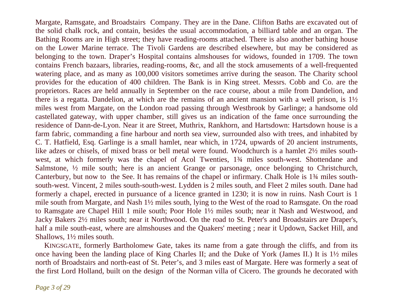Margate, Ramsgate, and Broadstairs Company. They are in the Dane. Clifton Baths are excavated out of the solid chalk rock, and contain, besides the usual accommodation, a billiard table and an organ. The Bathing Rooms are in High street; they have reading-rooms attached. There is also another bathing house on the Lower Marine terrace. The Tivoli Gardens are described elsewhere, but may be considered as belonging to the town. Draper's Hospital contains almshouses for widows, founded in 1709. The town contains French bazaars, libraries, reading-rooms, &c, and all the stock amusements of a well-frequented watering place, and as many as 100,000 visitors sometimes arrive during the season. The Charity school provides for the education of 400 children. The Bank is in King street. Messrs. Cobb and Co. are the proprietors. Races are held annually in September on the race course, about a mile from Dandelion, and there is a regatta. Dandelion, at which are the remains of an ancient mansion with a well prison, is 1½ miles west from Margate, on the London road passing through Westbrook by Garlinge; a handsome old castellated gateway, with upper chamber, still gives us an indication of the fame once surrounding the residence of Dann-de-Lyon. Near it are Street, Muthrix, Rankhorn, and Hartsdown: Hartsdown house is a farm fabric, commanding a fine harbour and north sea view, surrounded also with trees, and inhabited by C. T. Hatfield, Esq. Garlinge is a small hamlet, near which, in 1724, upwards of 20 ancient instruments, like adzes or chisels, of mixed brass or bell metal were found. Woodchurch is a hamlet 2½ miles southwest, at which formerly was the chapel of Acol Twenties, 1¾ miles south-west. Shottendane and Salmstone, ½ mile south; here is an ancient Grange or parsonage, once belonging to Christchurch, Canterbury, but now to the See. It has remains of the chapel or infirmary. Chalk Hole is 1¾ miles southsouth-west. Vincent, 2 miles south-south-west. Lydden is 2 miles south, and Fleet 2 miles south. Dane had formerly a chapel, erected in pursuance of a licence granted in 1230; it is now in ruins. Nash Court is 1 mile south from Margate, and Nash 1½ miles south, lying to the West of the road to Ramsgate. On the road to Ramsgate are Chapel Hill 1 mile south; Poor Hole 1½ miles south; near it Nash and Westwood, and Jacky Bakers 2½ miles south; near it Northwood. On the road to St. Peter's and Broadstairs are Draper's, half a mile south-east, where are almshouses and the Quakers' meeting ; near it Updown, Sacket Hill, and Shallows, 1½ miles south.

 KINGSGATE, formerly Bartholomew Gate, takes its name from a gate through the cliffs, and from its once having been the landing place of King Charles II; and the Duke of York (James II.) It is 1½ miles north of Broadstairs and north-east of St. Peter's, and 3 miles east of Margate. Here was formerly a seat of the first Lord Holland, built on the design of the Norman villa of Cicero. The grounds he decorated with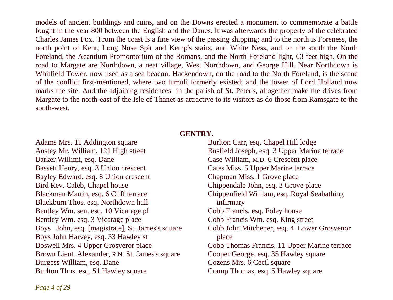models of ancient buildings and ruins, and on the Downs erected a monument to commemorate a battle fought in the year 800 between the English and the Danes. It was afterwards the property of the celebrated Charles James Fox. From the coast is a fine view of the passing shipping; and to the north is Foreness, the north point of Kent, Long Nose Spit and Kemp's stairs, and White Ness, and on the south the North Foreland, the Acantlum Promontorium of the Romans, and the North Foreland light, 63 feet high. On the road to Margate are Northdown, a neat village, West Northdown, and George Hill. Near Northdown is Whitfield Tower, now used as a sea beacon. Hackendown, on the road to the North Foreland, is the scene of the conflict first-mentioned, where two tumuli formerly existed; and the tower of Lord Holland now marks the site. And the adjoining residences in the parish of St. Peter's, altogether make the drives from Margate to the north-east of the Isle of Thanet as attractive to its visitors as do those from Ramsgate to the south-west.

## **GENTRY.**

Adams Mrs. 11 Addington square Anstey Mr. William, 121 High street Barker Willimi, esq. Dane Bassett Henry, esq. 3 Union crescent Bayley Edward, esq. 8 Union crescent Bird Rev. Caleb, Chapel house Blackman Martin, esq. 6 Cliff terrace Blackburn Thos. esq. Northdown hall Bentley Wm. sen. esq. 10 Vicarage pl Bentley Wm. esq. 3 Vicarage place Boys John, esq. [magistrate], St. James's square Boys John Harvey, esq. 33 Hawley st Boswell Mrs. 4 Upper Grosveror place Brown Lieut. Alexander, R.N. St. James's square Burgess William, esq. Dane Burlton Thos. esq. 51 Hawley square

Burlton Carr, esq. Chapel Hill lodge Busfield Joseph, esq. 3 Upper Marine terrace Case William, M.D. 6 Crescent place Cates Miss, 5 Upper Marine terrace Chapman Miss, 1 Grove place Chippendale John, esq. 3 Grove place Chippenfield William, esq. Royal Seabathing infirmary Cobb Francis, esq. Foley house Cobb Francis Wm. esq. King street Cobb John Mitchener, esq. 4 Lower Grosvenor place Cobb Thomas Francis, 11 Upper Marine terrace Cooper George, esq. 35 Hawley square Cozens Mrs. 6 Cecil square Cramp Thomas, esq. 5 Hawley square

*Page 4 of 29*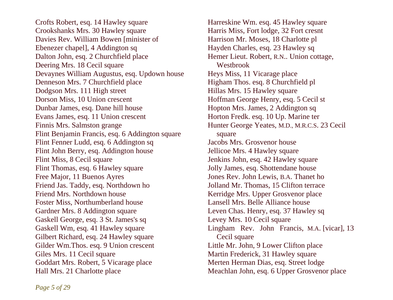Crofts Robert, esq. 14 Hawley square Crookshanks Mrs. 30 Hawley square Davies Rev. William Bowen [minister of Ebenezer chapel], 4 Addington sq Dalton John, esq. 2 Churchfield place Deering Mrs. 18 Cecil square Devaynes William Augustus, esq. Updown house Denneson Mrs. 7 Churchfield place Dodgson Mrs. 111 High street Dorson Miss, 10 Union crescent Dunbar James, esq. Dane hill house Evans James, esq. 11 Union crescent Finnis Mrs. Salmston grange Flint Benjamin Francis, esq. 6 Addington square Flint Fenner Ludd, esq. 6 Addington sq Flint John Berry, esq. Addington house Flint Miss, 8 Cecil square Flint Thomas, esq. 6 Hawley square Free Major, 11 Buenos Ayres Friend Jas. Taddy, esq. Northdown ho Friend Mrs. Northdown house Foster Miss, Northumberland house Gardner Mrs. 8 Addington square Gaskell George, esq. 3 St. James's sq Gaskell Wm, esq. 41 Hawley square Gilbert Richard, esq. 24 Hawley square Gilder Wm. Thos. esq. 9 Union crescent Giles Mrs. 11 Cecil square Goddart Mrs. Robert, 5 Vicarage place Hall Mrs. 21 Charlotte place

Harreskine Wm. esq. 45 Hawley square Harris Miss, Fort lodge, 32 Fort cresnt Harrison Mr. Moses, 18 Charlotte pl Hayden Charles, esq. 23 Hawley sq Hemer Lieut. Robert, R.N.. Union cottage, Westbrook Heys Miss, 11 Vicarage place Higham Thos. esq. 8 Churchfield pl Hillas Mrs. 15 Hawley square Hoffman George Henry, esq. 5 Cecil st Hopton Mrs. James, 2 Addington sq Horton Fredk. esq. 10 Up. Marine ter Hunter George Yeates, M.D., M.R.C.S. 23 Cecil square Jacobs Mrs. Grosvenor house Jellicoe Mrs. 4 Hawley square Jenkins John, esq. 42 Hawley square Jolly James, esq. Shottendane house Jones Rev. John Lewis, B.A. Thanet ho Jolland Mr. Thomas, 15 Clifton terrace Kerridge Mrs. Upper Grosvenor place Lansell Mrs. Belle Alliance house Leven Chas. Henry, esq. 37 Hawley sq Levey Mrs. 10 Cecil square Lingham Rev. John Francis, M.A. [vicar], 13 Cecil square Little Mr. John, 9 Lower Clifton place Martin Frederick, 31 Hawley square Merten Herman Dias, esq. Street lodge Meachlan John, esq. 6 Upper Grosvenor place

*Page 5 of 29*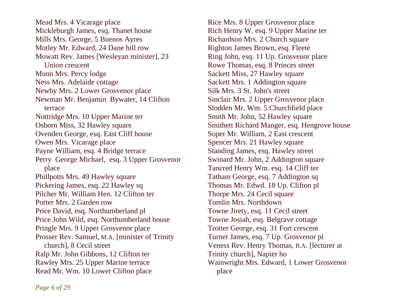Mead Mrs. 4 Vicarage place Mickleburgh James, esq. Thanet house Mills Mrs. George, 5 Buenos Ayres Motley Mr. Edward, 24 Dane hill row Mowatt Rev. James [Wesleyan minister], 23 Union crescent Munn Mrs. Percy lodge Ness Mrs. Adelaide cottage Newby Mrs. 2 Lower Grosvenor place Newman Mr. Benjamin Bywater, 14 Clifton terrace Nottridge Mrs. 10 Upper Marine ter Osborn Miss, 32 Hawley square Ovenden George, esq. East Cliff house Owen Mrs. Vicarage place Payne William, esq. 4 Bridge terrace Perry George Michael, esq. 3 Upper Grosvenor place Phillpotts Mrs. 49 Hawley square Pickering James, esq. 22 Hawley sq Pilcher Mr. William Hen. 12 Clifton ter Porter Mrs. 2 Garden row Price David, esq. Northumberland pl Price John Wild, esq. Northumberland house Pringle Mrs. 9 Upper Grosvenor place Prosser Rev. Samuel, M.A. [minister of Trinity church], 8 Cecil street Ralp Mr. John Gibbons, 12 Clifton ter Rawley Mrs. 25 Upper Marine terrace Read Mr. Wm. 10 Lower Clifton place

Rice Mrs. 8 Upper Grosvenor place Rich Henry W. esq. 9 Upper Marine ter Richardson Mrs. 2 Church square Righton James Brown, esq. Fleete Ring John, esq. 11 Up. Grosveuor place Rowe Thomas, esq. 8 Princes street Sackett Miss, 27 Hawley square Sackett Mrs. 1 Addington square Silk Mrs. 3 St. John's street Sinclair Mrs. 2 Upper Grosvenor place Slodden Mr. Wm. 5 Churchfield place Smith Mr. John, 52 Hawley square Smithett Richard Manger, esq. Hengrove house Soper Mr. William, 2 East crescent Spencer Mrs. 21 Hawley square Standing James, esq. Hawley street Swinard Mr. John, 2 Addington square Tancred Henry Wm. esq. 14 Cliff ter Tatham George, esq. 7 Addington sq Thomas Mr. Edwd. 18 Up. Clifton pl Thorpe Mrs. 24 Cecil square Tomlin Mrs. Northdown Towne Jirety, esq. 11 Cecil street Towne Josiah, esq. Belgrave cottage Trotter George, esq. 31 Fort crescent Turner James, esq. 7 Up. Grosvenor pl Veness Rev. Henry Thomas, B.A. [lecturer at Trinity church], Napier ho Wainwright Mrs. Edward, 1 Lower Grosvenor place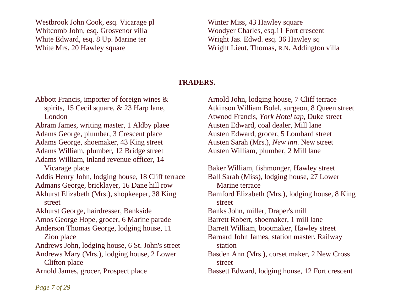Westbrook John Cook, esq. Vicarage pl Whitcomb John, esq. Grosvenor villa White Edward, esq. 8 Up. Marine ter White Mrs. 20 Hawley square

Winter Miss, 43 Hawley square Woodyer Charles, esq.11 Fort crescent Wright Jas. Edwd. esq. 36 Hawley sq Wright Lieut. Thomas, R.N. Addington villa

# **TRADERS.**

Abbott Francis, importer of foreign wines & spirits, 15 Cecil square, & 23 Harp lane, London Abram James, writing master, 1 Aldby plaee Adams George, plumber, 3 Crescent place Adams George, shoemaker, 43 King street Adams William, plumber, 12 Bridge street Adams William, inland revenue officer, 14 Vicarage place Addis Henry John, lodging house, 18 Cliff terrace Admans George, bricklayer, 16 Dane hill row Akhurst Elizabeth (Mrs.), shopkeeper, 38 King street Akhurst George, hairdresser, Bankside Amos George Hope, grocer, 6 Marine parade Anderson Thomas George, lodging house, 11 Zion place Andrews John, lodging house, 6 St. John's street Andrews Mary (Mrs.), lodging house, 2 Lower Clifton place Arnold James, grocer, Prospect place

Arnold John, lodging house, 7 Cliff terrace Atkinson William Bolel, surgeon, 8 Queen street Atwood Francis, *York Hotel tap*, Duke street Austen Edward, coal dealer, Mill lane Austen Edward, grocer, 5 Lombard street Austen Sarah (Mrs.), *New inn*. New street Austen William, plumber, 2 Mill lane

Baker William, fishmonger, Hawley street Ball Sarah (Miss), lodging house, 27 Lower Marine terrace Bamford Elizabeth (Mrs.), lodging house, 8 King street Banks John, miller, Draper's mill Barrett Robert, shoemaker, 1 mill lane Barrett William, bootmaker, Hawley street Barnard John James, station master. Railway station Basden Ann (Mrs.), corset maker, 2 New Cross street Bassett Edward, lodging house, 12 Fort crescent

*Page 7 of 29*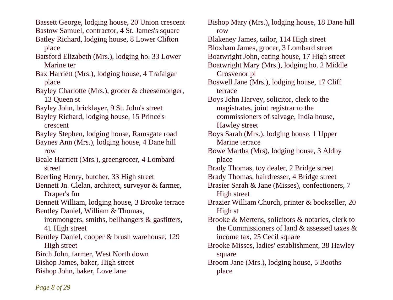Bassett George, lodging house, 20 Union crescent Bastow Samuel, contractor, 4 St. James's square Batley Richard, lodging house, 8 Lower Clifton

place

Batsford Elizabeth (Mrs.), lodging ho. 33 Lower Marine ter

Bax Harriett (Mrs.), lodging house, 4 Trafalgar place

Bayley Charlotte (Mrs.), grocer & cheesemonger, 13 Queen st

Bayley John, bricklayer, 9 St. John's street

Bayley Richard, lodging house, 15 Prince's crescent

Bayley Stephen, lodging house, Ramsgate road

Baynes Ann (Mrs.), lodging house, 4 Dane hill row

Beale Harriett (Mrs.), greengrocer, 4 Lombard street

Beerling Henry, butcher, 33 High street

Bennett Jn. Clelan, architect, surveyor & farmer, Draper's fm

Bennett William, lodging house, 3 Brooke terrace Bentley Daniel, William & Thomas,

 ironmongers, smiths, bellhangers & gasfitters, 41 High street

Bentley Daniel, cooper & brush warehouse, 129 High street

Birch John, farmer, West North down Bishop James, baker, High street

Bishop John, baker, Love lane

Bishop Mary (Mrs.), lodging house, 18 Dane hill row Blakeney James, tailor, 114 High street Bloxham James, grocer, 3 Lombard street Boatwright John, eating house, 17 High street Boatwright Mary (Mrs.), lodging ho. 2 Middle Grosvenor pl Boswell Jane (Mrs.), lodging house, 17 Cliff terrace Boys John Harvey, solicitor, clerk to the magistrates, joint registrar to the commissioners of salvage, India house, Hawley street Boys Sarah (Mrs.), lodging house, 1 Upper Marine terrace Bowe Martha (Mrs), lodging house, 3 Aldby place Brady Thomas, toy dealer, 2 Bridge street Brady Thomas, hairdresser, 4 Bridge street Brasier Sarah & Jane (Misses), confectioners, 7 High street Brazier William Church, printer & bookseller, 20 High st Brooke & Mertens, solicitors & notaries, clerk to the Commissioners of land & assessed taxes & income tax, 25 Cecil square Brooke Misses, ladies' establishment, 38 Hawley square Broom Jane (Mrs.), lodging house, 5 Booths place

*Page 8 of 29*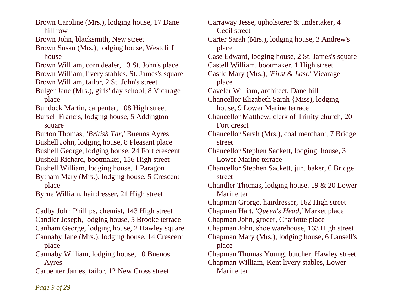Brown Caroline (Mrs.), lodging house, 17 Dane hill row

Brown John, blacksmith, New street

Brown Susan (Mrs.), lodging house, Westcliff house

Brown William, corn dealer, 13 St. John's place

Brown William, livery stables, St. James's square

Brown William, tailor, 2 St. John's street

Bulger Jane (Mrs.), girls' day school, 8 Vicarage place

Bundock Martin, carpenter, 108 High street

Bursell Francis, lodging house, 5 Addington square

Burton Thomas, *'British Tar,'* Buenos Ayres Bushell John, lodging house, 8 Pleasant place Bushell George, lodging house, 24 Fort crescent Bushell Richard, bootmaker, 156 High street

Bushell William, lodging house, 1 Paragon

Bytham Mary (Mrs.), lodging house, 5 Crescent place

Byrne William, hairdresser, 21 High street

Cadby John Phillips, chemist, 143 High street Candler Joseph, lodging house, 5 Brooke terrace Canham George, lodging house, 2 Hawley square Cannaby Jane (Mrs.), lodging house, 14 Crescent

place

Cannaby William, lodging house, 10 Buenos Ayres

Carpenter James, tailor, 12 New Cross street

Carraway Jesse, upholsterer & undertaker, 4 Cecil street Carter Sarah (Mrs.), lodging house, 3 Andrew's place Case Edward, lodging house, 2 St. James's square Castell William, bootmaker, 1 High street Castle Mary (Mrs.), *'First & Last,'* Vicarage place Caveler William, architect, Dane hill Chancellor Elizabeth Sarah {Miss), lodging house, 9 Lower Marine terrace Chancellor Matthew, clerk of Trinity church, 20 Fort cresct Chancellor Sarah (Mrs.), coal merchant, 7 Bridge street Chancellor Stephen Sackett, lodging house, 3 Lower Marine terrace Chancellor Stephen Sackett, jun. baker, 6 Bridge street Chandler Thomas, lodging house. 19 & 20 Lower Marine ter Chapman Grorge, hairdresser, 162 High street Chapman Hart, *'Queen's Head,'* Market place Chapman John, grocer, Charlotte place Chapman John, shoe warehouse, 163 High street Chapman Mary (Mrs.), lodging house, 6 Lansell's place Chapman Thomas Young, butcher, Hawley street Chapman William, Kent livery stables, Lower Marine ter

*Page 9 of 29*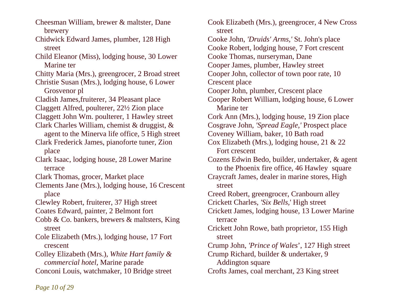Cheesman William, brewer & maltster, Dane brewery Chidwick Edward James, plumber, 128 High street Child Eleanor (Miss), lodging house, 30 Lower Marine ter Chitty Maria (Mrs.), greengrocer, 2 Broad street Christie Susan (Mrs.), lodging house, 6 Lower Grosvenor pl Cladish James,fruiterer, 34 Pleasant place Claggett Alfred, poulterer, 22½ Zion place Claggett John Wm. poulterer, 1 Hawley street Clark Charles William, chemist & druggist, & agent to the Minerva life office, 5 High street Clark Frederick James, pianoforte tuner, Zion place Clark Isaac, lodging house, 28 Lower Marine terrace Clark Thomas, grocer, Market place Clements Jane (Mrs.), lodging house, 16 Crescent place Clewley Robert, fruiterer, 37 High street Coates Edward, painter, 2 Belmont fort Cobb & Co. bankers, brewers & maltsters, King street Cole Elizabeth (Mrs.), lodging house, 17 Fort crescent Colley Elizabeth (Mrs.), *White Hart family & commercial hotel,* Marine parade Conconi Louis, watchmaker, 10 Bridge street

Cook Elizabeth (Mrs.), greengrocer, 4 New Cross street Cooke John, *'Druids' Arms,'* St. John's place Cooke Robert, lodging house, 7 Fort crescent Cooke Thomas, nurseryman, Dane Cooper James, plumber, Hawley street Cooper John, collector of town poor rate, 10 Crescent place Cooper John, plumber, Crescent place Cooper Robert William, lodging house, 6 Lower Marine ter Cork Ann (Mrs.), lodging house, 19 Zion place Cosgrave John, *'Spread Eagle,'* Prospect place Coveney William, baker, 10 Bath road Cox Elizabeth (Mrs.), lodging house, 21 & 22 Fort crescent Cozens Edwin Bedo, builder, undertaker, & agent to the Phoenix fire office, 46 Hawley square Craycraft James, dealer in marine stores, High street Creed Robert, greengrocer, Cranbourn alley Crickett Charles, *'Six Bells,*' High street Crickett James, lodging house, 13 Lower Marine terrace Crickett John Rowe, bath proprietor, 155 High street Crump John, *'Prince of Wales*', 127 High street Crump Richard, builder & undertaker, 9 Addington square Crofts James, coal merchant, 23 King street

*Page 10 of 29*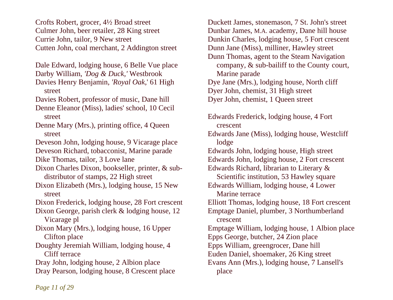Crofts Robert, grocer, 4½ Broad street Culmer John, beer retailer, 28 King street Currie John, tailor, 9 New street Cutten John, coal merchant, 2 Addington street

Dale Edward, lodging house, 6 Belle Vue place

- Darby William, *'Dog & Duck,'* Westbrook
- Davies Henry Benjamin, *'Royal Oak,*' 61 High street
- Davies Robert, professor of music, Dane hill
- Denne Eleanor (Miss), ladies' school, 10 Cecil street
- Denne Mary (Mrs.), printing office, 4 Queen street
- Deveson John, lodging house, 9 Vicarage place
- Deveson Richard, tobacconist, Marine parade
- Dike Thomas, tailor, 3 Love lane
- Dixon Charles Dixon, bookseller, printer, & sub distributor of stamps, 22 High street
- Dixon Elizabeth (Mrs.), lodging house, 15 New street
- Dixon Frederick, lodging house, 28 Fort crescent
- Dixon George, parish clerk & lodging house, 12 Vicarage pl
- Dixon Mary (Mrs.), lodging house, 16 Upper Clifton place
- Doughty Jeremiah William, lodging house, 4 Cliff terrace
- Dray John, lodging house, 2 Albion place
- Dray Pearson, lodging house, 8 Crescent place

Duckett James, stonemason, 7 St. John's street Dunbar James, M.A. academy, Dane hill house Dunkin Charles, lodging house, 5 Fort crescent Dunn Jane (Miss), milliner, Hawley street Dunn Thomas, agent to the Steam Navigation company, & sub-bailiff to the County court, Marine parade Dye Jane (Mrs.), lodging house, North cliff Dyer John, chemist, 31 High street Dyer John, chemist, 1 Queen street Edwards Frederick, lodging house, 4 Fort crescent Edwards Jane (Miss), lodging house, Westcliff lodge Edwards John, lodging house, High street Edwards John, lodging house, 2 Fort crescent Edwards Richard, librarian to Literary & Scientific institution, 53 Hawley square Edwards William, lodging house, 4 Lower Marine terrace Elliott Thomas, lodging house, 18 Fort crescent Emptage Daniel, plumber, 3 Northumberland crescent

Emptage William, lodging house, 1 Albion place

- Epps George, butcher, 24 Zion place
- Epps William, greengrocer, Dane hill
- Euden Daniel, shoemaker, 26 King street
- Evans Ann (Mrs.), lodging house, 7 Lansell's place

*Page 11 of 29*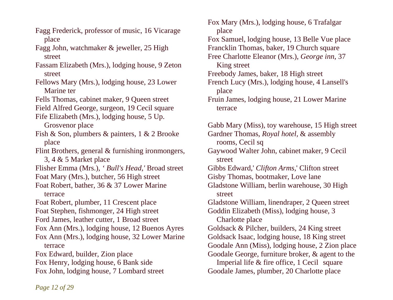Fagg Frederick, professor of music, 16 Vicarage place

Fagg John, watchmaker & jeweller, 25 High street

Fassam Elizabeth (Mrs.), lodging house, 9 Zeton street

Fellows Mary (Mrs.), lodging house, 23 Lower Marine ter

Fells Thomas, cabinet maker, 9 Queen street

Field Alfred George, surgeon, 19 Cecil square

Fife Elizabeth (Mrs.), lodging house, 5 Up.

Grosvenor place

Fish & Son, plumbers & painters, 1 & 2 Brooke place

Flint Brothers, general & furnishing ironmongers, 3, 4 & 5 Market place

Flisher Emma (Mrs.), *' Bull's Head,'* Broad street

Foat Mary (Mrs.), butcher, 56 High street

Foat Robert, bather, 36 & 37 Lower Marine terrace

Foat Robert, plumber, 11 Crescent place

Foat Stephen, fishmonger, 24 High street

Ford James, leather cutter, 1 Broad street

Fox Ann (Mrs.), lodging house, 12 Buenos Ayres

Fox Ann (Mrs.), lodging house, 32 Lower Marine terrace

Fox Edward, builder, Zion place

Fox Henry, lodging house, 6 Bank side

Fox John, lodging house, 7 Lombard street

Fox Mary (Mrs.), lodging house, 6 Trafalgar place Fox Samuel, lodging house, 13 Belle Vue place Francklin Thomas, baker, 19 Church square Free Charlotte Eleanor (Mrs.), *George inn*, 37 King street Freebody James, baker, 18 High street French Lucy (Mrs.), lodging house, 4 Lansell's place

Fruin James, lodging house, 21 Lower Marine terrace

Gabb Mary (Miss), toy warehouse, 15 High street

Gardner Thomas, *Royal hotel,* & assembly rooms, Cecil sq

Gaywood Walter John, cabinet maker, 9 Cecil street

Gibbs Edward,' *Clifton Arms,*' Clifton street Gisby Thomas, bootmaker, Love lane

Gladstone William, berlin warehouse, 30 High street

Gladstone William, linendraper, 2 Queen street Goddin Elizabeth (Miss), lodging house, 3

Charlotte place

Goldsack & Pilcher, builders, 24 King street

Goldsack Isaac, lodging house, 18 King street

Goodale Ann (Miss), lodging house, 2 Zion place

Goodale George, furniture broker, & agent to the

 Imperial life & fire office, 1 Cecil square Goodale James, plumber, 20 Charlotte place

*Page 12 of 29*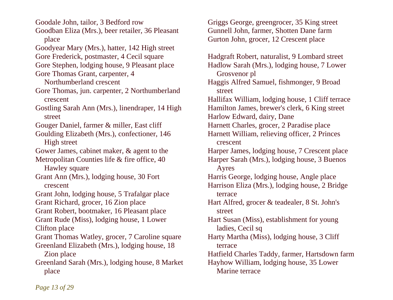Goodale John, tailor, 3 Bedford row

- Goodban Eliza (Mrs.), beer retailer, 36 Pleasant place
- Goodyear Mary (Mrs.), hatter, 142 High street
- Gore Frederick, postmaster, 4 Cecil square
- Gore Stephen, lodging house, 9 Pleasant place
- Gore Thomas Grant, carpenter, 4
	- Northumberland crescent
- Gore Thomas, jun. carpenter, 2 Northumberland crescent
- Gostling Sarah Ann (Mrs.), linendraper, 14 High street
- Gouger Daniel, farmer & miller, East cliff
- Goulding Elizabeth (Mrs.), confectioner, 146 High street
- Gower James, cabinet maker, & agent to the
- Metropolitan Counties life & fire office, 40 Hawley square
- Grant Ann (Mrs.), lodging house, 30 Fort crescent
- Grant John, lodging house, 5 Trafalgar place Grant Richard, grocer, 16 Zion place
- Grant Robert, bootmaker, 16 Pleasant place Grant Rude (Miss), lodging house, 1 Lower
- Clifton place
- Grant Thomas Watley, grocer, 7 Caroline square Greenland Elizabeth (Mrs.), lodging house, 18
	- Zion place
- Greenland Sarah (Mrs.), lodging house, 8 Market place

Griggs George, greengrocer, 35 King street Gunnell John, farmer, Shotten Dane farm Gurton John, grocer, 12 Crescent place

Hadgraft Robert, naturalist, 9 Lombard street Hadlow Sarah (Mrs.), lodging house, 7 Lower Grosvenor pl Haggis Alfred Samuel, fishmonger, 9 Broad street Hallifax William, lodging house, 1 Cliff terrace Hamilton James, brewer's clerk, 6 King street Harlow Edward, dairy, Dane Harnett Charles, grocer, 2 Paradise place Harnett William, relieving officer, 2 Princes crescent Harper James, lodging house, 7 Crescent place Harper Sarah (Mrs.), lodging house, 3 Buenos Ayres Harris George, lodging house, Angle place Harrison Eliza (Mrs.), lodging house, 2 Bridge terrace Hart Alfred, grocer & teadealer, 8 St. John's street Hart Susan (Miss), establishment for young ladies, Cecil sq Harty Martha (Miss), lodging house, 3 Cliff terrace Hatfield Charles Taddy, farmer, Hartsdown farm Hayhow William, lodging house, 35 Lower Marine terrace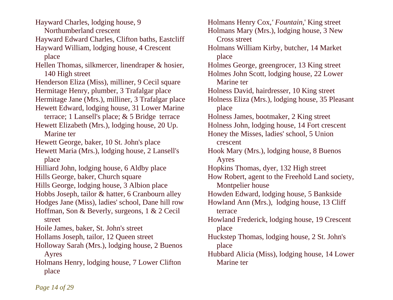Hayward Charles, lodging house, 9 Northumberland crescent Hayward Edward Charles, Clifton baths, Eastcliff Hayward William, lodging house, 4 Crescent place Hellen Thomas, silkmercer, linendraper & hosier, 140 High street Henderson Eliza (Miss), milliner, 9 Cecil square Hermitage Henry, plumber, 3 Trafalgar place Hermitage Jane (Mrs.), milliner, 3 Trafalgar place Hewett Edward, lodging house, 31 Lower Marine terrace; 1 Lansell's place; & 5 Bridge terrace Hewett Elizabeth (Mrs.), lodging house, 20 Up. Marine ter Hewett George, baker, 10 St. John's place Hewett Maria (Mrs.), lodging house, 2 Lansell's place Hilliard John, lodging house, 6 Aldby place Hills George, baker, Church square Hills George, lodging house, 3 Albion place Hobbs Joseph, tailor & hatter, 6 Cranbourn alley Hodges Jane (Miss), ladies' school, Dane hill row Hoffman, Son & Beverly, surgeons, 1 & 2 Cecil street Hoile James, baker, St. John's street Hollams Joseph, tailor, 12 Queen street Holloway Sarah (Mrs.), lodging house, 2 Buenos Ayres Holmans Henry, lodging house, 7 Lower Clifton place

Holmans Henry Cox,*' Fountain,*' King street Holmans Mary (Mrs.), lodging house, 3 New Cross street Holmans William Kirby, butcher, 14 Market place Holmes George, greengrocer, 13 King street Holmes John Scott, lodging house, 22 Lower Marine ter Holness David, hairdresser, 10 King street Holness Eliza (Mrs.), lodging house, 35 Pleasant place Holness James, bootmaker, 2 King street Holness John, lodging house, 14 Fort crescent Honey the Misses, ladies' school, 5 Union crescent Hook Mary (Mrs.), lodging house, 8 Buenos Ayres Hopkins Thomas, dyer, 132 High street How Robert, agent to the Freehold Land society, Montpelier house Howden Edward, lodging house, 5 Bankside Howland Ann (Mrs.), lodging house, 13 Cliff terrace Howland Frederick, lodging house, 19 Crescent place Huckstep Thomas, lodging house, 2 St. John's place Hubbard Alicia (Miss), lodging house, 14 Lower Marine ter

*Page 14 of 29*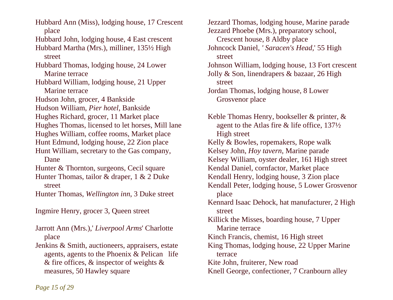Hubbard Ann (Miss), lodging house, 17 Crescent place Hubbard John, lodging house, 4 East crescent Hubbard Martha (Mrs.), milliner, 135½ High street Hubbard Thomas, lodging house, 24 Lower Marine terrace Hubbard William, lodging house, 21 Upper Marine terrace Hudson John, grocer, 4 Bankside Hudson William, *Pier hotel*, Bankside Hughes Richard, grocer, 11 Market place Hughes Thomas, licensed to let horses, Mill lane Hughes William, coffee rooms, Market place Hunt Edmund, lodging house, 22 Zion place Hunt William, secretary to the Gas company, Dane Hunter & Thornton, surgeons, Cecil square Hunter Thomas, tailor & draper, 1 & 2 Duke street Hunter Thomas, *Wellington inn*, 3 Duke street Ingmire Henry, grocer 3, Queen street Jarrott Ann (Mrs.),' *Liverpool Arms*' Charlotte place Jenkins & Smith, auctioneers, appraisers, estate agents, agents to the Phoenix & Pelican life & fire offices, & inspector of weights & measures, 50 Hawley square

Jezzard Thomas, lodging house, Marine parade Jezzard Phoebe (Mrs.), preparatory school, Crescent house, 8 Aldby place Johncock Daniel, *' Saracen's Head,*' 55 High street Johnson William, lodging house, 13 Fort crescent Jolly & Son, linendrapers & bazaar, 26 High street Jordan Thomas, lodging house, 8 Lower Grosvenor place Keble Thomas Henry, bookseller & printer, &

 agent to the Atlas fire & life office, 137½ High street Kelly & Bowles, ropemakers, Rope walk Kelsey John, *Hoy tavern*, Marine parade Kelsey William, oyster dealer, 161 High street Kendal Daniel, cornfactor, Market place Kendall Henry, lodging house, 3 Zion place Kendall Peter, lodging house, 5 Lower Grosvenor place Kennard Isaac Dehock, hat manufacturer, 2 High street Killick the Misses, boarding house, 7 Upper Marine terrace Kinch Francis, chemist, 16 High street King Thomas, lodging house, 22 Upper Marine terrace Kite John, fruiterer, New road Knell George, confectioner, 7 Cranbourn alley

*Page 15 of 29*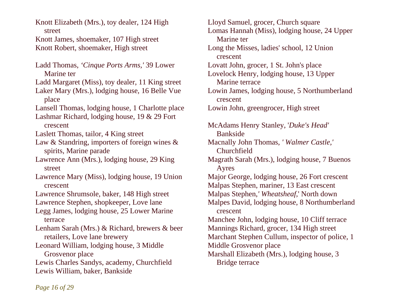Knott Elizabeth (Mrs.), toy dealer, 124 High street Knott James, shoemaker, 107 High street Knott Robert, shoemaker, High street

Ladd Thomas, *'Cinque Ports Arms,'* 39 Lower Marine ter Ladd Margaret (Miss), toy dealer, 11 King street Laker Mary (Mrs.), lodging house, 16 Belle Vue place Lansell Thomas, lodging house, 1 Charlotte place Lashmar Richard, lodging house, 19 & 29 Fort crescent Laslett Thomas, tailor, 4 King street Law & Standring, importers of foreign wines & spirits, Marine parade Lawrence Ann (Mrs.), lodging house, 29 King street Lawrence Mary (Miss), lodging house, 19 Union crescent Lawrence Shrumsole, baker, 148 High street Lawrence Stephen, shopkeeper, Love lane Legg James, lodging house, 25 Lower Marine terrace Lenham Sarah (Mrs.) & Richard, brewers & beer retailers, Love lane brewery Leonard William, lodging house, 3 Middle Grosvenor place Lewis Charles Sandys, academy, Churchfield Lewis William, baker, Bankside

Lloyd Samuel, grocer, Church square Lomas Hannah (Miss), lodging house, 24 Upper Marine ter Long the Misses, ladies' school, 12 Union crescent Lovatt John, grocer, 1 St. John's place Lovelock Henry, lodging house, 13 Upper Marine terrace Lowin James, lodging house, 5 Northumberland crescent Lowin John, greengrocer, High street McAdams Henry Stanley, '*Duke's Head'* Bankside Macnally John Thomas, *' Walmer Castle,'* Churchfield Magrath Sarah (Mrs.), lodging house, 7 Buenos Ayres Major George, lodging house, 26 Fort crescent Malpas Stephen, mariner, 13 East crescent Malpas Stephen,*' Wheatsheaf,*' North down Malpes David, lodging house, 8 Northumberland crescent Manchee John, lodging house, 10 Cliff terrace Mannings Richard, grocer, 134 High street Marchant Stephen Cullum, inspector of police, 1 Middle Grosvenor place Marshall Elizabeth (Mrs.), lodging house, 3 Bridge terrace

*Page 16 of 29*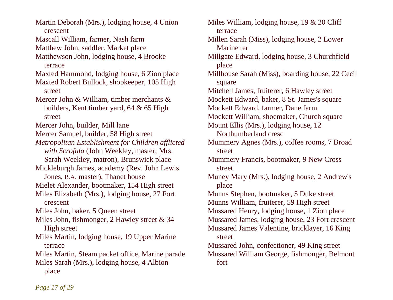Martin Deborah (Mrs.), lodging house, 4 Union crescent Mascall William, farmer, Nash farm Matthew John, saddler. Market place Matthewson John, lodging house, 4 Brooke terrace Maxted Hammond, lodging house, 6 Zion place Maxted Robert Bullock, shopkeeper, 105 High street Mercer John & William, timber merchants & builders, Kent timber yard, 64 & 65 High street Mercer John, builder, Mill lane Mercer Samuel, builder, 58 High street *Metropolitan Establishment for Children afflicted with Scrofula* (John Weekley, master; Mrs. Sarah Weekley, matron), Brunswick place Mickleburgh James, academy (Rev. John Lewis Jones, B.A. master), Thanet house Mielet Alexander, bootmaker, 154 High street Miles Elizabeth (Mrs.), lodging house, 27 Fort crescent Miles John, baker, 5 Queen street Miles John, fishmonger, 2 Hawley street & 34 High street Miles Martin, lodging house, 19 Upper Marine terrace Miles Martin, Steam packet office, Marine parade Miles Sarah (Mrs.), lodging house, 4 Albion place

Miles William, lodging house, 19 & 20 Cliff terrace Millen Sarah (Miss), lodging house, 2 Lower Marine ter Millgate Edward, lodging house, 3 Churchfield place Millhouse Sarah (Miss), boarding house, 22 Cecil square Mitchell James, fruiterer, 6 Hawley street Mockett Edward, baker, 8 St. James's square Mockett Edward, farmer, Dane farm Mockett William, shoemaker, Church square Mount Ellis (Mrs.), lodging house, 12 Northumberland cresc Mummery Agnes (Mrs.), coffee rooms, 7 Broad street Mummery Francis, bootmaker, 9 New Cross street Muney Mary (Mrs.), lodging house, 2 Andrew's place Munns Stephen, bootmaker, 5 Duke street Munns William, fruiterer, 59 High street Mussared Henry, lodging house, 1 Zion place Mussared James, lodging house, 23 Fort crescent Mussared James Valentine, bricklayer, 16 King street Mussared John, confectioner, 49 King street Mussared William George, fishmonger, Belmont fort

*Page 17 of 29*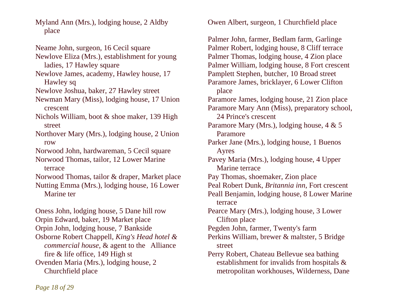Myland Ann (Mrs.), lodging house, 2 Aldby place

Neame John, surgeon, 16 Cecil square Newlove Eliza (Mrs.), establishment for young ladies, 17 Hawley square Newlove James, academy, Hawley house, 17 Hawley sq Newlove Joshua, baker, 27 Hawley street Newman Mary (Miss), lodging house, 17 Union crescent Nichols William, boot & shoe maker, 139 High street Northover Mary (Mrs.), lodging house, 2 Union row Norwood John, hardwareman, 5 Cecil square Norwood Thomas, tailor, 12 Lower Marine terrace Norwood Thomas, tailor & draper, Market place Nutting Emma (Mrs.), lodging house, 16 Lower Marine ter Oness John, lodging house, 5 Dane hill row Orpin Edward, baker, 19 Market place Orpin John, lodging house, 7 Bankside Osborne Robert Chappell, *King's Head hotel & commercial house*, & agent to the Alliance

 fire & life office, 149 High st Ovenden Maria (Mrs.), lodging house, 2 Churchfield place

Owen Albert, surgeon, 1 Churchfield place

Palmer John, farmer, Bedlam farm, Garlinge Palmer Robert, lodging house, 8 Cliff terrace Palmer Thomas, lodging house, 4 Zion place Palmer William, lodging house, 8 Fort crescent Pamplett Stephen, butcher, 10 Broad street Paramore James, bricklayer, 6 Lower Clifton place Paramore James, lodging house, 21 Zion place Paramore Mary Ann (Miss), preparatory school, 24 Prince's crescent Paramore Mary (Mrs.), lodging house, 4 & 5 Paramore Parker Jane (Mrs.), lodging house, 1 Buenos Ayres Pavey Maria (Mrs.), lodging house, 4 Upper Marine terrace Pay Thomas, shoemaker, Zion place Peal Robert Dunk, *Britannia inn*, Fort crescent Peall Benjamin, lodging house, 8 Lower Marine terrace Pearce Mary (Mrs.), lodging house, 3 Lower Clifton place Pegden John, farmer, Twenty's farm Perkins William, brewer & maltster, 5 Bridge street Perry Robert, Chateau Bellevue sea bathing establishment for invalids from hospitals & metropolitan workhouses, Wilderness, Dane

*Page 18 of 29*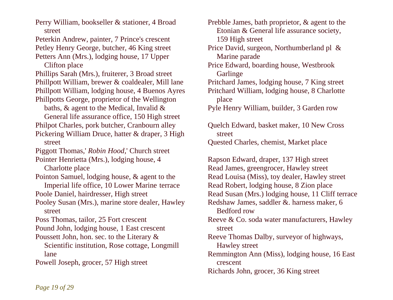Perry William, bookseller & stationer, 4 Broad street

Peterkin Andrew, painter, 7 Prince's crescent Petley Henry George, butcher, 46 King street Petters Ann (Mrs.), lodging house, 17 Upper

Clifton place

Phillips Sarah (Mrs.), fruiterer, 3 Broad street Phillpott William, brewer & coaldealer, Mill lane Phillpott William, lodging house, 4 Buenos Ayres Phillpotts George, proprietor of the Wellington

baths, & agent to the Medical, Invalid &

 General life assurance office, 150 High street Philpot Charles, pork butcher, Cranbourn alley Pickering William Druce, hatter & draper, 3 High

street

Piggott Thomas,' *Robin Hood,*' Church street

Pointer Henrietta (Mrs.), lodging house, 4 Charlotte place

- Pointon Samuel, lodging house, & agent to the Imperial life office, 10 Lower Marine terrace
- Poole Daniel, hairdresser, High street
- Pooley Susan (Mrs.), marine store dealer, Hawley street

Poss Thomas, tailor, 25 Fort crescent

- Pound John, lodging house, 1 East crescent
- Poussett John, hon. sec. to the Literary & Scientific institution, Rose cottage, Longmill lane

Powell Joseph, grocer, 57 High street

Prebble James, bath proprietor, & agent to the Etonian & General life assurance society, 159 High street

Price David, surgeon, Northumberland pl & Marine parade

- Price Edward, boarding house, Westbrook **Garlinge**
- Pritchard James, lodging house, 7 King street Pritchard William, lodging house, 8 Charlotte place

Pyle Henry William, builder, 3 Garden row

Quelch Edward, basket maker, 10 New Cross street Quested Charles, chemist, Market place

Rapson Edward, draper, 137 High street Read James, greengrocer, Hawley street Read Louisa (Miss), toy dealer, Hawley street Read Robert, lodging house, 8 Zion place Read Susan (Mrs.) lodging house, 11 Cliff terrace Redshaw James, saddler &. harness maker, 6 Bedford row Reeve & Co. soda water manufacturers, Hawley street Reeve Thomas Dalby, surveyor of highways, Hawley street Remmington Ann (Miss), lodging house, 16 East crescent

Richards John, grocer, 36 King street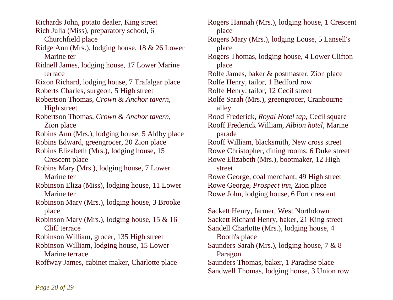Richards John, potato dealer, King street Rich Julia (Miss), preparatory school, 6 Churchfield place Ridge Ann (Mrs.), lodging house, 18 & 26 Lower Marine ter Ridnell James, lodging house, 17 Lower Marine terrace Rixon Richard, lodging house, 7 Trafalgar place Roberts Charles, surgeon, 5 High street Robertson Thomas, *Crown & Anchor tavern*, High street Robertson Thomas, *Crown & Anchor tavern*, Zion place Robins Ann (Mrs.), lodging house, 5 Aldby place Robins Edward, greengrocer, 20 Zion place Robins Elizabeth (Mrs.), lodging house, 15 Crescent place Robins Mary (Mrs.), lodging house, 7 Lower Marine ter Robinson Eliza (Miss), lodging house, 11 Lower Marine ter Robinson Mary (Mrs.), lodging house, 3 Brooke place Robinson Mary (Mrs.), lodging house, 15 & 16 Cliff terrace Robinson William, grocer, 135 High street Robinson William, lodging house, 15 Lower Marine terrace Roffway James, cabinet maker, Charlotte place

Rogers Hannah (Mrs.), lodging house, 1 Crescent place Rogers Mary (Mrs.), lodging Louse, 5 Lansell's place Rogers Thomas, lodging house, 4 Lower Clifton place Rolfe James, baker & postmaster, Zion place Rolfe Henry, tailor, 1 Bedford row Rolfe Henry, tailor, 12 Cecil street Rolfe Sarah (Mrs.), greengrocer, Cranbourne alley Rood Frederick, *Royal Hotel tap*, Cecil square Rooff Frederick William, *Albion hotel*, Marine parade Rooff William, blacksmith, New cross street Rowe Christopher, dining rooms, 6 Duke street Rowe Elizabeth (Mrs.), bootmaker, 12 High street Rowe George, coal merchant, 49 High street Rowe George, *Prospect inn*, Zion place Rowe John, lodging house, 6 Fort crescent Sackett Henry, farmer, West Northdown Sackett Richard Henry, baker, 21 King street Sandell Charlotte (Mrs.), lodging house, 4 Booth's place Saunders Sarah (Mrs.), lodging house, 7 & 8 Paragon Saunders Thomas, baker, 1 Paradise place Sandwell Thomas, lodging house, 3 Union row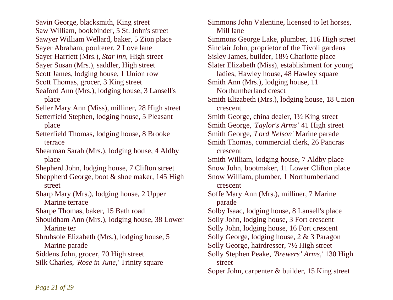Savin George, blacksmith, King street Saw William, bookbinder, 5 St. John's street Sawyer William Wellard, baker, 5 Zion place Sayer Abraham, poulterer, 2 Love lane Sayer Harriett (Mrs.), *Star inn*, High street Sayer Susan (Mrs.), saddler, High street Scott James, lodging house, 1 Union row Scott Thomas, grocer, 3 King street Seaford Ann (Mrs.), lodging house, 3 Lansell's place Seller Mary Ann (Miss), milliner, 28 High street Setterfield Stephen, lodging house, 5 Pleasant place Setterfield Thomas, lodging house, 8 Brooke terrace Shearman Sarah (Mrs.), lodging house, 4 Aldby place Shepherd John, lodging house, 7 Clifton street Sheppherd George, boot & shoe maker, 145 High street Sharp Mary (Mrs.), lodging house, 2 Upper Marine terrace Sharpe Thomas, baker, 15 Bath road Shouldham Ann (Mrs.), lodging house, 38 Lower Marine ter Shrubsole Elizabeth (Mrs.), lodging house, 5 Marine parade Siddens John, grocer, 70 High street

Silk Charles, *'Rose in June,*' Trinity square

Simmons John Valentine, licensed to let horses, Mill lane Simmons George Lake, plumber, 116 High street Sinclair John, proprietor of the Tivoli gardens Sisley James, builder, 18½ Charlotte place Slater Elizabeth (Miss), establishment for young ladies, Hawley house, 48 Hawley square Smith Ann (Mrs.), lodging house, 11 Northumberland cresct Smith Elizabeth (Mrs.), lodging house, 18 Union crescent Smith George, china dealer, 1½ King street Smith George, '*Taylor's Arms'* 41 High street Smith George, '*Lord Nelson'* Marine parade Smith Thomas, commercial clerk, 26 Pancras crescent Smith William, lodging house, 7 Aldby place Snow John, bootmaker, 11 Lower Clifton place Snow William, plumber, 1 Northumberland crescent Soffe Mary Ann (Mrs.), milliner, 7 Marine parade Solby Isaac, lodging house, 8 Lansell's place Solly John, lodging house, 3 Fort crescent Solly John, lodging house, 16 Fort crescent Solly George, lodging house, 2 & 3 Paragon Solly George, hairdresser, 7½ High street Solly Stephen Peake, *'Brewers' Arms,'* 130 High street Soper John, carpenter & builder, 15 King street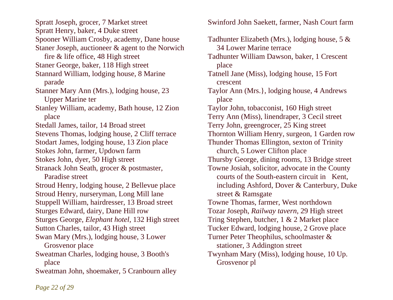Spratt Joseph, grocer, 7 Market street Spratt Henry, baker, 4 Duke street Spooner William Crosby, academy, Dane house Staner Joseph, auctioneer & agent to the Norwich fire & life office, 48 High street Staner George, baker, 118 High street Stannard William, lodging house, 8 Marine parade Stanner Mary Ann (Mrs.), lodging house, 23 Upper Marine ter Stanley William, academy, Bath house, 12 Zion place Stedall James, tailor, 14 Broad street Stevens Thomas, lodging house, 2 Cliff terrace Stodart James, lodging house, 13 Zion place Stokes John, farmer, Updown farm Stokes John, dyer, 50 High street Stranack John Seath, grocer & postmaster, Paradise street Stroud Henry, lodging house, 2 Bellevue place Stroud Henry, nurseryman, Long Mill lane Stuppell William, hairdresser, 13 Broad street Sturges Edward, dairy, Dane Hill row Sturges George, *Elephant hotel,* 132 High street Sutton Charles, tailor, 43 High street Swan Mary (Mrs.), lodging house, 3 Lower Grosvenor place Sweatman Charles, lodging house, 3 Booth's place Sweatman John, shoemaker, 5 Cranbourn alley

Swinford John Saekett, farmer, Nash Court farm

Tadhunter Elizabeth (Mrs.), lodging house, 5 & 34 Lower Marine terrace Tadhunter William Dawson, baker, 1 Crescent place Tatnell Jane (Miss), lodging house, 15 Fort crescent Taylor Ann (Mrs.}, lodging house, 4 Andrews place Taylor John, tobacconist, 160 High street Terry Ann (Miss), linendraper, 3 Cecil street Terry John, greengrocer, 25 King street Thornton William Henry, surgeon, 1 Garden row Thunder Thomas Ellington, sexton of Trinity church, 5 Lower Clifton place Thursby George, dining rooms, 13 Bridge street Towne Josiah, solicitor, advocate in the County courts of the South-eastern circuit in Kent, including Ashford, Dover & Canterbury, Duke street & Ramsgate Towne Thomas, farmer, West northdown Tozar Joseph, *Railway tavern*, 29 High street Tring Stephen, butcher, 1 & 2 Market place Tucker Edward, lodging house, 2 Grove place Turner Peter Theophilus, schoolmaster & stationer, 3 Addington street Twynham Mary (Miss), lodging house, 10 Up. Grosvenor pl

*Page 22 of 29*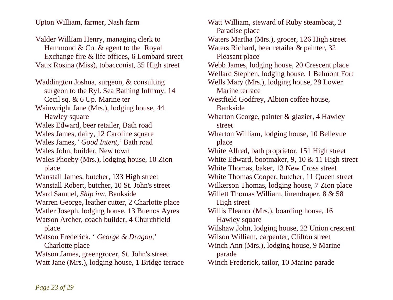Upton William, farmer, Nash farm

Valder William Henry, managing clerk to Hammond & Co. & agent to the Royal Exchange fire & life offices, 6 Lombard street Vaux Rosina (Miss), tobacconist, 35 High street

Waddington Joshua, surgeon, & consulting surgeon to the Ryl. Sea Bathing Inftrmy. 14 Cecil sq. & 6 Up. Marine ter Wainwright Jane (Mrs.), lodging house, 44 Hawley square Wales Edward, beer retailer, Bath road Wales James, dairy, 12 Caroline square Wales James, ' *Good Intent,'* Bath road Wales John, builder, New town Wales Phoeby (Mrs.), lodging house, 10 Zion place Wanstall James, butcher, 133 High street Wanstall Robert, butcher, 10 St. John's street Ward Samuel, *Ship inn*, Bankside Warren George, leather cutter, 2 Charlotte place Watler Joseph, lodging house, 13 Buenos Ayres Watson Archer, coach builder, 4 Churchfield place Watson Frederick, ' *George & Dragon,*' Charlotte place Watson James, greengrocer, St. John's street Watt Jane (Mrs.), lodging house, 1 Bridge terrace Watt William, steward of Ruby steamboat, 2 Paradise place Waters Martha (Mrs.), grocer, 126 High street Waters Richard, beer retailer & painter, 32 Pleasant place Webb James, lodging house, 20 Crescent place Wellard Stephen, lodging house, 1 Belmont Fort Wells Mary (Mrs.), lodging house, 29 Lower Marine terrace Westfield Godfrey, Albion coffee house, Bankside Wharton George, painter & glazier, 4 Hawley street Wharton William, lodging house, 10 Bellevue place White Alfred, bath proprietor, 151 High street White Edward, bootmaker, 9, 10 & 11 High street White Thomas, baker, 13 New Cross street White Thomas Cooper, butcher, 11 Queen street Wilkerson Thomas, lodging house, 7 Zion place Willett Thomas William, linendraper, 8 & 58 High street Willis Eleanor (Mrs.), boarding house, 16 Hawley square Wilshaw John, lodging house, 22 Union crescent Wilson William, carpenter, Clifton street Winch Ann (Mrs.), lodging house, 9 Marine parade Winch Frederick, tailor, 10 Marine parade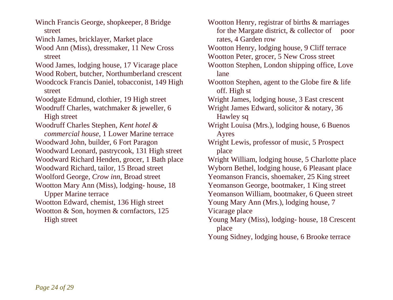Winch Francis George, shopkeeper, 8 Bridge street

Winch James, bricklayer, Market place

Wood Ann (Miss), dressmaker, 11 New Cross street

Wood James, lodging house, 17 Vicarage place

Wood Robert, butcher, Northumberland crescent

Woodcock Francis Daniel, tobacconist, 149 High street

Woodgate Edmund, clothier, 19 High street

Woodruff Charles, watchmaker & jeweller, 6 High street

Woodruff Charles Stephen, *Kent hotel & commercial house*, 1 Lower Marine terrace Woodward John, builder, 6 Fort Paragon Woodward Leonard, pastrycook, 131 High street Woodward Richard Henden, grocer, 1 Bath place Woodward Richard, tailor, 15 Broad street Woolford George, *Crow inn*, Broad street Wootton Mary Ann (Miss), lodging- house, 18 Upper Marine terrace Wootton Edward, chemist, 136 High street Wootton & Son, hoymen & cornfactors, 125

High street

Wootton Henry, registrar of births & marriages for the Margate district, & collector of poor rates, 4 Garden row

- Wootton Henry, lodging house, 9 Cliff terrace Wootton Peter, grocer, 5 New Cross street
- Wootton Stephen, London shipping office, Love lane
- Wootton Stephen, agent to the Globe fire & life off. High st

Wright James, lodging house, 3 East crescent

Wright James Edward, solicitor & notary, 36 Hawley sq

- Wright Louisa (Mrs.), lodging house, 6 Buenos Ayres
- Wright Lewis, professor of music, 5 Prospect place

Wright William, lodging house, 5 Charlotte place Wyborn Bethel, lodging house, 6 Pleasant place

Yeomanson Francis, shoemaker, 25 King street

Yeomanson George, bootmaker, 1 King street

Yeomanson William, bootmaker, 6 Queen street

Young Mary Ann (Mrs.), lodging house, 7

Vicarage place

Young Mary (Miss), lodging- house, 18 Crescent place

Young Sidney, lodging house, 6 Brooke terrace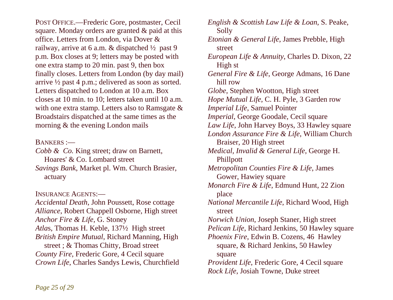POST OFFICE.—Frederic Gore, postmaster, Cecil square. Monday orders are granted & paid at this office. Letters from London, via Dover & railway, arrive at 6 a.m. & dispatched ½ past 9 p.m. Box closes at 9; letters may be posted with one extra stamp to 20 min. past 9, then box finally closes. Letters from London (by day mail) arrive ½ past 4 p.m.; delivered as soon as sorted. Letters dispatched to London at 10 a.m. Box closes at 10 min. to 10; letters taken until 10 a.m. with one extra stamp. Letters also to Ramsgate & Broadstairs dispatched at the same times as the morning & the evening London mails

# BANKERS :—

*Cobb & Co.* King street; draw on Barnett, Hoares' & Co. Lombard street *Savings Bank*, Market pl. Wm. Church Brasier, actuary

INSURANCE AGENTS:—

*Accidental Death*, John Poussett, Rose cottage *Alliance*, Robert Chappell Osborne, High street *Anchor Fire & Life,* G. Stoney *Atla*s, Thomas H. Keble, 137½ High street *British Empire Mutual*, Richard Manning, High street ; & Thomas Chitty, Broad street *County Fire*, Frederic Gore, 4 Cecil square *Crown Life*, Charles Sandys Lewis, Churchfield *English & Scottish Law Life & Loan*, S. Peake, Solly *Etonian & General Life*, James Prebble, High street *European Life & Annuity*, Charles D. Dixon, 22 High st *General Fire & Life*, George Admans, 16 Dane hill row *Globe*, Stephen Wootton, High street *Hope Mutual Life*, C. H. Pyle, 3 Garden row *Imperial Life*, Samuel Pointer *Imperial*, George Goodale, Cecil square *Law Life*, John Harvey Boys, 33 Hawley square *London Assurance Fire & Life*, William Church Braiser, 20 High street *Medical, Invalid & General Life*, George H. Phillpott *Metropolitan Counties Fire & Life*, James Gower, Hawiey square *Monarch Fire & Life*, Edmund Hunt, 22 Zion place *National Mercantile Life*, Richard Wood, High street *Norwich Union*, Joseph Staner, High street *Pelican Life*, Richard Jenkins, 50 Hawley square *Phoenix Fire*, Edwin B. Cozens, 46 Hawley square, & Richard Jenkins, 50 Hawley square *Provident Life*, Frederic Gore, 4 Cecil square *Rock Life*, Josiah Towne, Duke street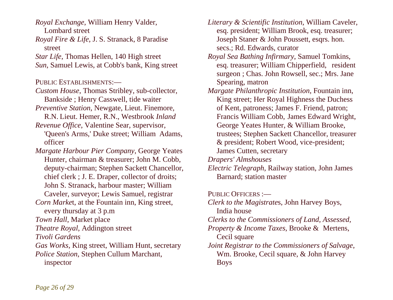*Royal Exchange*, William Henry Valder, Lombard street

*Royal Fire & Life*, J. S. Stranack, 8 Paradise street

*Star Life*, Thomas Hellen, 140 High street *Sun*, Samuel Lewis, at Cobb's bank, King street

PUBLIC ESTABLISHMENTS:—

- *Custom House*, Thomas Stribley, sub-collector, Bankside ; Henry Casswell, tide waiter
- *Preventive Station*, Newgate, Lieut. Finemore, R.N. Lieut. Hemer, R.N., Westbrook *Inland*
- *Revenue Office*, Valentine Sear, supervisor, 'Queen's Arms,' Duke street; William Adams,

officer

*Margate Harbour Pier Company*, George Yeates Hunter, chairman & treasurer; John M. Cobb, deputy-chairman; Stephen Sackett Chancellor, chief clerk ; J. E. Draper, collector of droits; John S. Stranack, harbour master; William Caveler, surveyor; Lewis Samuel, registrar *Corn Marke*t, at the Fountain inn, King street, every thursday at 3 p.m *Town Hall*, Market place *Theatre Royal*, Addington street *Tivoli Gardens Gas Works,* King street, William Hunt, secretary *Police Station*, Stephen Cullum Marchant, inspector

*Literary & Scientific Institution*, William Caveler, esq. president; William Brook, esq. treasurer; Joseph Staner & John Poussett, esgrs. hon. secs.; Rd. Edwards, curator

*Royal Sea Bathing Infirmary*, Samuel Tomkins, esq. treasurer; William Chipperfield, resident surgeon ; Chas. John Rowsell, sec.; Mrs. Jane Spearing, matron

*Margate Philanthropic Institution*, Fountain inn, King street; Her Royal Highness the Duchess of Kent, patroness; James F. Friend, patron; Francis William Cobb, James Edward Wright, George Yeates Hunter, & William Brooke, trustees; Stephen Sackett Chancellor, treasurer & president; Robert Wood, vice-president; James Cutten, secretary

*Drapers' Almshouses* 

*Electric Telegraph*, Railway station, John James Barnard; station master

PUBLIC OFFICERS :-

*Clerk to the Magistrate*s, John Harvey Boys, India house *Clerks to the Commissioners of Land, Assessed, Property & Income Taxes*, Brooke & Mertens, Cecil square *Joint Registrar to the Commissioners of Salvage*, Wm. Brooke, Cecil square, & John Harvey Boys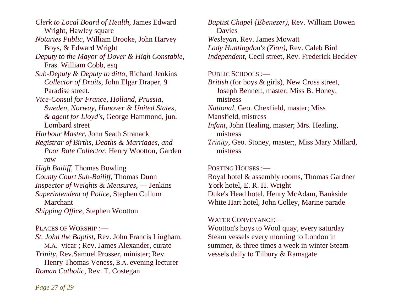*Clerk to Local Board of Health*, James Edward Wright, Hawley square *Notaries Public*, William Brooke, John Harvey Boys, & Edward Wright *Deputy to the Mayor of Dover & High Constable*, Fras. William Cobb, esq *Sub-Deputy & Deputy to ditto*, Richard Jenkins  *Collector of Droits*, John Elgar Draper, 9 Paradise street. *Vice-Consul for France, Holland, Prussia, Sweden, Norway, Hanover & United States, & agent for Lloyd's*, George Hammond, jun. Lombard street *Harbour Master*, John Seath Stranack *Registrar of Births, Deaths & Marriages, and Poor Rate Collector*, Henry Wootton, Garden row *High Bailiff*, Thomas Bowling *County Court Sub-Bailiff*, Thomas Dunn *Inspector of Weights & Measures*, — Jenkins *Superintendent of Police*, Stephen Cullum Marchant *Shipping Office*, Stephen Wootton PLACES OF WORSHIP :-

*St. John the Baptist*, Rev. John Francis Lingham, M.A. vicar ; Rev. James Alexander, curate *Trinity*, Rev.Samuel Prosser, minister; Rev. Henry Thomas Veness, B.A. evening lecturer *Roman Catholic*, Rev. T. Costegan

*Baptist Chapel {Ebenezer)*, Rev. William Bowen Davies *Wesleyan*, Rev. James Mowatt *Lady Huntingdon's (Zion)*, Rev. Caleb Bird *Independent*, Cecil street, Rev. Frederick Beckley

## PUBLIC SCHOOLS :-

*British* (for boys & girls), New Cross street, Joseph Bennett, master; Miss B. Honey, mistress *National*, Geo. Chexfield, master; Miss Mansfield, mistress *Infant*, John Healing, master; Mrs. Healing, mistress *Trinity*, Geo. Stoney, master;, Miss Mary Millard,

mistress

#### POSTING HOUSES :—

Royal hotel & assembly rooms, Thomas Gardner York hotel, E. R. H. Wright Duke's Head hotel, Henry McAdam, Bankside White Hart hotel, John Colley, Marine parade

#### WATER CONVEYANCE:—

Wootton's hoys to Wool quay, every saturday Steam vessels every morning to London in summer, & three times a week in winter Steam vessels daily to Tilbury & Ramsgate

*Page 27 of 29*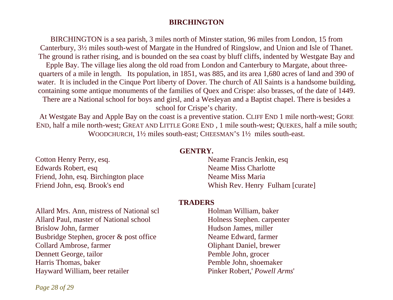# **BIRCHINGTON**

BIRCHINGTON is a sea parish, 3 miles north of Minster station, 96 miles from London, 15 from Canterbury, 3½ miles south-west of Margate in the Hundred of Ringslow, and Union and Isle of Thanet. The ground is rather rising, and is bounded on the sea coast by bluff cliffs, indented by Westgate Bay and Epple Bay. The village lies along the old road from London and Canterbury to Margate, about three-

quarters of a mile in length. Its population, in 1851, was 885, and its area 1,680 acres of land and 390 of water. It is included in the Cinque Port liberty of Dover. The church of All Saints is a handsome building, containing some antique monuments of the families of Quex and Crispe: also brasses, of the date of 1449.

There are a National school for boys and girsl, and a Wesleyan and a Baptist chapel. There is besides a school for Crispe's charity.

At Westgate Bay and Apple Bay on the coast is a preventive station. CLIFF END 1 mile north-west; GORE END, half a mile north-west; GREAT AND LITTLE GORE END , 1 mile south-west; QUEKES, half a mile south; WOODCHURCH,  $1\frac{1}{2}$  miles south-east; CHEESMAN'S  $1\frac{1}{2}$  miles south-east.

## **GENTRY.**

Cotton Henry Perry, esq. Edwards Robert, esq Friend, John, esq. Birchington place Friend John, esq. Brook's end

Neame Francis Jenkin, esq Neame Miss Charlotte Neame Miss Maria Whish Rev. Henry Fulham [curate]

## **TRADERS**

Allard Mrs. Ann, mistress of National scl Allard Paul, master of National school Brislow John, farmer Busbridge Stephen, grocer & post office Collard Ambrose, farmer Dennett George, tailor Harris Thomas, baker Hayward William, beer retailer

Holman William, baker Holness Stephen. carpenter Hudson James, miller Neame Edward, farmer Oliphant Daniel, brewer Pemble John, grocer Pemble John, shoemaker Pinker Robert,' *Powell Arms*'

*Page 28 of 29*